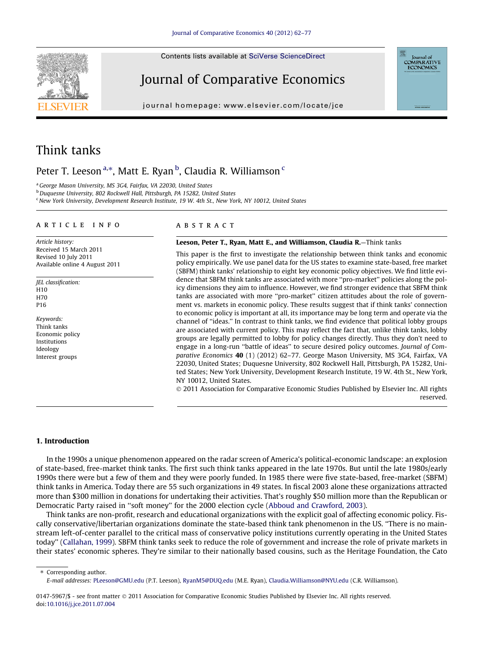Contents lists available at [SciVerse ScienceDirect](http://www.sciencedirect.com/science/journal/01475967)

# Journal of Comparative Economics

journal homepage: [www.elsevier.com/locate/jce](http://www.elsevier.com/locate/jce)



## Think tanks

## Peter T. Leeson <sup>a,\*</sup>, Matt E. Ryan <sup>b</sup>, Claudia R. Williamson <sup>c</sup>

<sup>a</sup> George Mason University, MS 3G4, Fairfax, VA 22030, United States

b Duquesne University, 802 Rockwell Hall, Pittsburgh, PA 15282, United States

 $c<sub>k</sub>$  New York University, Development Research Institute, 19 W. 4th St., New York, NY 10012, United States

### article info

Article history: Received 15 March 2011 Revised 10 July 2011 Available online 4 August 2011

JEL classification: H<sub>10</sub> H70 P16

Keywords: Think tanks Economic policy Institutions Ideology Interest groups

#### **ABSTRACT**

#### Leeson, Peter T., Ryan, Matt E., and Williamson, Claudia R.—Think tanks

This paper is the first to investigate the relationship between think tanks and economic policy empirically. We use panel data for the US states to examine state-based, free market (SBFM) think tanks' relationship to eight key economic policy objectives. We find little evidence that SBFM think tanks are associated with more ''pro-market'' policies along the policy dimensions they aim to influence. However, we find stronger evidence that SBFM think tanks are associated with more ''pro-market'' citizen attitudes about the role of government vs. markets in economic policy. These results suggest that if think tanks' connection to economic policy is important at all, its importance may be long term and operate via the channel of ''ideas.'' In contrast to think tanks, we find evidence that political lobby groups are associated with current policy. This may reflect the fact that, unlike think tanks, lobby groups are legally permitted to lobby for policy changes directly. Thus they don't need to engage in a long-run ''battle of ideas'' to secure desired policy outcomes. Journal of Comparative Economics 40 (1) (2012) 62–77. George Mason University, MS 3G4, Fairfax, VA 22030, United States; Duquesne University, 802 Rockwell Hall, Pittsburgh, PA 15282, United States; New York University, Development Research Institute, 19 W. 4th St., New York, NY 10012, United States.

Journal of COMPARATIVE<br>ECONOMICS

© 2011 Association for Comparative Economic Studies Published by Elsevier Inc. All rights reserved.

## 1. Introduction

In the 1990s a unique phenomenon appeared on the radar screen of America's political-economic landscape: an explosion of state-based, free-market think tanks. The first such think tanks appeared in the late 1970s. But until the late 1980s/early 1990s there were but a few of them and they were poorly funded. In 1985 there were five state-based, free-market (SBFM) think tanks in America. Today there are 55 such organizations in 49 states. In fiscal 2003 alone these organizations attracted more than \$300 million in donations for undertaking their activities. That's roughly \$50 million more than the Republican or Democratic Party raised in ''soft money'' for the 2000 election cycle ([Abboud and Crawford, 2003\)](#page-15-0).

Think tanks are non-profit, research and educational organizations with the explicit goal of affecting economic policy. Fiscally conservative/libertarian organizations dominate the state-based think tank phenomenon in the US. ''There is no mainstream left-of-center parallel to the critical mass of conservative policy institutions currently operating in the United States today'' [\(Callahan, 1999](#page-15-0)). SBFM think tanks seek to reduce the role of government and increase the role of private markets in their states' economic spheres. They're similar to their nationally based cousins, such as the Heritage Foundation, the Cato

⇑ Corresponding author. E-mail addresses: [PLeeson@GMU.edu](mailto:PLeeson@GMU.edu) (P.T. Leeson), [RyanM5@DUQ.edu](mailto:RyanM5@DUQ.edu) (M.E. Ryan), [Claudia.Williamson@NYU.edu](mailto:Claudia.Williamson@NYU.edu) (C.R. Williamson).

<sup>0147-5967/\$ -</sup> see front matter © 2011 Association for Comparative Economic Studies Published by Elsevier Inc. All rights reserved. doi[:10.1016/j.jce.2011.07.004](http://dx.doi.org/10.1016/j.jce.2011.07.004)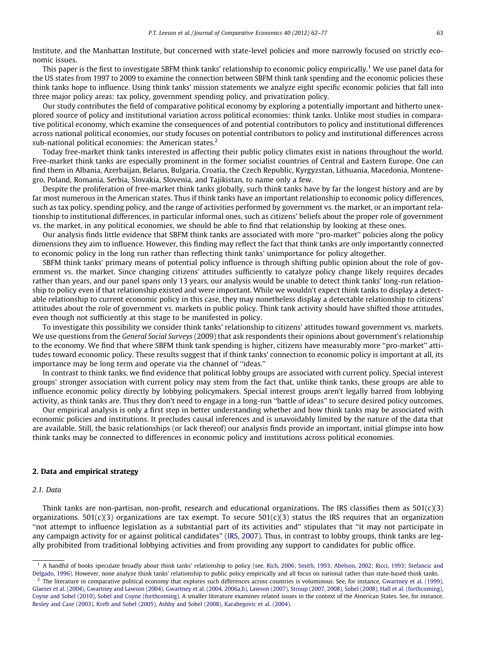Institute, and the Manhattan Institute, but concerned with state-level policies and more narrowly focused on strictly economic issues.

This paper is the first to investigate SBFM think tanks' relationship to economic policy empirically.<sup>1</sup> We use panel data for the US states from 1997 to 2009 to examine the connection between SBFM think tank spending and the economic policies these think tanks hope to influence. Using think tanks' mission statements we analyze eight specific economic policies that fall into three major policy areas: tax policy, government spending policy, and privatization policy.

Our study contributes the field of comparative political economy by exploring a potentially important and hitherto unexplored source of policy and institutional variation across political economies: think tanks. Unlike most studies in comparative political economy, which examine the consequences of and potential contributors to policy and institutional differences across national political economies, our study focuses on potential contributors to policy and institutional differences across sub-national political economies: the American states.<sup>2</sup>

Today free-market think tanks interested in affecting their public policy climates exist in nations throughout the world. Free-market think tanks are especially prominent in the former socialist countries of Central and Eastern Europe. One can find them in Albania, Azerbaijan, Belarus, Bulgaria, Croatia, the Czech Republic, Kyrgyzstan, Lithuania, Macedonia, Montenegro, Poland, Romania, Serbia, Slovakia, Slovenia, and Tajikistan, to name only a few.

Despite the proliferation of free-market think tanks globally, such think tanks have by far the longest history and are by far most numerous in the American states. Thus if think tanks have an important relationship to economic policy differences, such as tax policy, spending policy, and the range of activities performed by government vs. the market, or an important relationship to institutional differences, in particular informal ones, such as citizens' beliefs about the proper role of government vs. the market, in any political economies, we should be able to find that relationship by looking at these ones.

Our analysis finds little evidence that SBFM think tanks are associated with more ''pro-market'' policies along the policy dimensions they aim to influence. However, this finding may reflect the fact that think tanks are only importantly connected to economic policy in the long run rather than reflecting think tanks' unimportance for policy altogether.

SBFM think tanks' primary means of potential policy influence is through shifting public opinion about the role of government vs. the market. Since changing citizens' attitudes sufficiently to catalyze policy change likely requires decades rather than years, and our panel spans only 13 years, our analysis would be unable to detect think tanks' long-run relationship to policy even if that relationship existed and were important. While we wouldn't expect think tanks to display a detectable relationship to current economic policy in this case, they may nonetheless display a detectable relationship to citizens' attitudes about the role of government vs. markets in public policy. Think tank activity should have shifted those attitudes, even though not sufficiently at this stage to be manifested in policy.

To investigate this possibility we consider think tanks' relationship to citizens' attitudes toward government vs. markets. We use questions from the General Social Surveys (2009) that ask respondents their opinions about government's relationship to the economy. We find that where SBFM think tank spending is higher, citizens have measurably more ''pro-market'' attitudes toward economic policy. These results suggest that if think tanks' connection to economic policy is important at all, its importance may be long term and operate via the channel of ''ideas.''

In contrast to think tanks, we find evidence that political lobby groups are associated with current policy. Special interest groups' stronger association with current policy may stem from the fact that, unlike think tanks, these groups are able to influence economic policy directly by lobbying policymakers. Special interest groups aren't legally barred from lobbying activity, as think tanks are. Thus they don't need to engage in a long-run ''battle of ideas'' to secure desired policy outcomes.

Our empirical analysis is only a first step in better understanding whether and how think tanks may be associated with economic policies and institutions. It precludes causal inferences and is unavoidably limited by the nature of the data that are available. Still, the basic relationships (or lack thereof) our analysis finds provide an important, initial glimpse into how think tanks may be connected to differences in economic policy and institutions across political economies.

## 2. Data and empirical strategy

#### 2.1. Data

Think tanks are non-partisan, non-profit, research and educational organizations. The IRS classifies them as  $501(c)(3)$ organizations.  $501(c)(3)$  organizations are tax exempt. To secure  $501(c)(3)$  status the IRS requires that an organization ''not attempt to influence legislation as a substantial part of its activities and'' stipulates that ''it may not participate in any campaign activity for or against political candidates" [\(IRS, 2007\)](#page-15-0). Thus, in contrast to lobby groups, think tanks are legally prohibited from traditional lobbying activities and from providing any support to candidates for public office.

<sup>&</sup>lt;sup>1</sup> A handful of books speculate broadly about think tanks' relationship to policy (see, [Rich, 2006; Smith, 1993; Abelson, 2002; Ricci, 1993; Stefancic and](#page-15-0) [Delgado, 1996](#page-15-0)). However, none analyze think tanks' relationship to public policy empirically and all focus on national rather than state-based think tanks.

 $2$  The literature in comparative political economy that explores such differences across countries is voluminous. See, for instance, [Gwartney et al. \(1999\),](#page-15-0) [Glaeser et al. \(2004\), Gwartney and Lawson \(2004\), Gwartney et al. \(2004, 2006a,b\), Lawson \(2007\), Stroup \(2007, 2008\), Sobel \(2008\), Hall et al. \(forthcoming\),](#page-15-0) [Coyne and Sobel \(2010\), Sobel and Coyne \(forthcoming\)](#page-15-0). A smaller literature examines related issues in the context of the American States. See, for instance, [Besley and Case \(2003\), Kreft and Sobel \(2005\), Ashby and Sobel \(2008\), Karabegovic et al. \(2004\).](#page-15-0)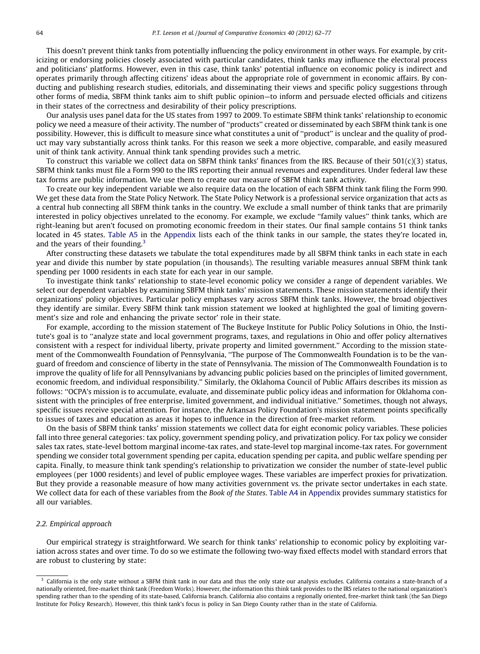This doesn't prevent think tanks from potentially influencing the policy environment in other ways. For example, by criticizing or endorsing policies closely associated with particular candidates, think tanks may influence the electoral process and politicians' platforms. However, even in this case, think tanks' potential influence on economic policy is indirect and operates primarily through affecting citizens' ideas about the appropriate role of government in economic affairs. By conducting and publishing research studies, editorials, and disseminating their views and specific policy suggestions through other forms of media, SBFM think tanks aim to shift public opinion—to inform and persuade elected officials and citizens in their states of the correctness and desirability of their policy prescriptions.

Our analysis uses panel data for the US states from 1997 to 2009. To estimate SBFM think tanks' relationship to economic policy we need a measure of their activity. The number of ''products'' created or disseminated by each SBFM think tank is one possibility. However, this is difficult to measure since what constitutes a unit of ''product'' is unclear and the quality of product may vary substantially across think tanks. For this reason we seek a more objective, comparable, and easily measured unit of think tank activity. Annual think tank spending provides such a metric.

To construct this variable we collect data on SBFM think tanks' finances from the IRS. Because of their 501(c)(3) status, SBFM think tanks must file a Form 990 to the IRS reporting their annual revenues and expenditures. Under federal law these tax forms are public information. We use them to create our measure of SBFM think tank activity.

To create our key independent variable we also require data on the location of each SBFM think tank filing the Form 990. We get these data from the State Policy Network. The State Policy Network is a professional service organization that acts as a central hub connecting all SBFM think tanks in the country. We exclude a small number of think tanks that are primarily interested in policy objectives unrelated to the economy. For example, we exclude ''family values'' think tanks, which are right-leaning but aren't focused on promoting economic freedom in their states. Our final sample contains 51 think tanks located in 45 states. [Table A5](#page-13-0) in the Appendix lists each of the think tanks in our sample, the states they're located in, and the years of their founding. $3$ 

After constructing these datasets we tabulate the total expenditures made by all SBFM think tanks in each state in each year and divide this number by state population (in thousands). The resulting variable measures annual SBFM think tank spending per 1000 residents in each state for each year in our sample.

To investigate think tanks' relationship to state-level economic policy we consider a range of dependent variables. We select our dependent variables by examining SBFM think tanks' mission statements. These mission statements identify their organizations' policy objectives. Particular policy emphases vary across SBFM think tanks. However, the broad objectives they identify are similar. Every SBFM think tank mission statement we looked at highlighted the goal of limiting government's size and role and enhancing the private sector' role in their state.

For example, according to the mission statement of The Buckeye Institute for Public Policy Solutions in Ohio, the Institute's goal is to ''analyze state and local government programs, taxes, and regulations in Ohio and offer policy alternatives consistent with a respect for individual liberty, private property and limited government.'' According to the mission statement of the Commonwealth Foundation of Pennsylvania, ''The purpose of The Commonwealth Foundation is to be the vanguard of freedom and conscience of liberty in the state of Pennsylvania. The mission of The Commonwealth Foundation is to improve the quality of life for all Pennsylvanians by advancing public policies based on the principles of limited government, economic freedom, and individual responsibility.'' Similarly, the Oklahoma Council of Public Affairs describes its mission as follows: ''OCPA's mission is to accumulate, evaluate, and disseminate public policy ideas and information for Oklahoma consistent with the principles of free enterprise, limited government, and individual initiative.'' Sometimes, though not always, specific issues receive special attention. For instance, the Arkansas Policy Foundation's mission statement points specifically to issues of taxes and education as areas it hopes to influence in the direction of free-market reform.

On the basis of SBFM think tanks' mission statements we collect data for eight economic policy variables. These policies fall into three general categories: tax policy, government spending policy, and privatization policy. For tax policy we consider sales tax rates, state-level bottom marginal income-tax rates, and state-level top marginal income-tax rates. For government spending we consider total government spending per capita, education spending per capita, and public welfare spending per capita. Finally, to measure think tank spending's relationship to privatization we consider the number of state-level public employees (per 1000 residents) and level of public employee wages. These variables are imperfect proxies for privatization. But they provide a reasonable measure of how many activities government vs. the private sector undertakes in each state. We collect data for each of these variables from the Book of the States. [Table A4](#page-13-0) in Appendix provides summary statistics for all our variables.

## 2.2. Empirical approach

Our empirical strategy is straightforward. We search for think tanks' relationship to economic policy by exploiting variation across states and over time. To do so we estimate the following two-way fixed effects model with standard errors that are robust to clustering by state:

California is the only state without a SBFM think tank in our data and thus the only state our analysis excludes. California contains a state-branch of a nationally oriented, free-market think tank (Freedom Works). However, the information this think tank provides to the IRS relates to the national organization's spending rather than to the spending of its state-based, California branch. California also contains a regionally oriented, free-market think tank (the San Diego Institute for Policy Research). However, this think tank's focus is policy in San Diego County rather than in the state of California.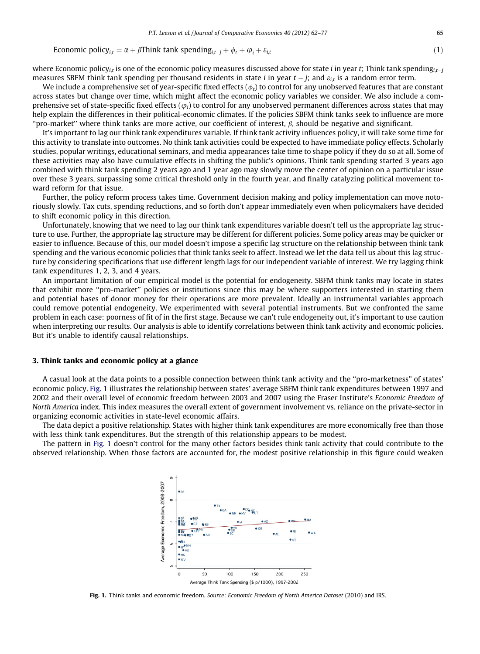Economic policy<sub>i,t</sub> =  $\alpha + \beta$ Think tank spending<sub>i,t-j</sub> +  $\phi_t + \varphi_i + \varepsilon_{i,t}$  (1)

where Economic policy $_{i,t}$  is one of the economic policy measures discussed above for state  $i$  in year  $t$ ; Think tank spending $_{i,t-j}$ measures SBFM think tank spending per thousand residents in state  $i$  in year  $t-j;$  and  $\varepsilon_{i,t}$  is a random error term.

We include a comprehensive set of year-specific fixed effects  $(\phi_t)$  to control for any unobserved features that are constant across states but change over time, which might affect the economic policy variables we consider. We also include a comprehensive set of state-specific fixed effects ( $\varphi_i$ ) to control for any unobserved permanent differences across states that may help explain the differences in their political-economic climates. If the policies SBFM think tanks seek to influence are more "pro-market" where think tanks are more active, our coefficient of interest,  $\beta$ , should be negative and significant.

It's important to lag our think tank expenditures variable. If think tank activity influences policy, it will take some time for this activity to translate into outcomes. No think tank activities could be expected to have immediate policy effects. Scholarly studies, popular writings, educational seminars, and media appearances take time to shape policy if they do so at all. Some of these activities may also have cumulative effects in shifting the public's opinions. Think tank spending started 3 years ago combined with think tank spending 2 years ago and 1 year ago may slowly move the center of opinion on a particular issue over these 3 years, surpassing some critical threshold only in the fourth year, and finally catalyzing political movement toward reform for that issue.

Further, the policy reform process takes time. Government decision making and policy implementation can move notoriously slowly. Tax cuts, spending reductions, and so forth don't appear immediately even when policymakers have decided to shift economic policy in this direction.

Unfortunately, knowing that we need to lag our think tank expenditures variable doesn't tell us the appropriate lag structure to use. Further, the appropriate lag structure may be different for different policies. Some policy areas may be quicker or easier to influence. Because of this, our model doesn't impose a specific lag structure on the relationship between think tank spending and the various economic policies that think tanks seek to affect. Instead we let the data tell us about this lag structure by considering specifications that use different length lags for our independent variable of interest. We try lagging think tank expenditures 1, 2, 3, and 4 years.

An important limitation of our empirical model is the potential for endogeneity. SBFM think tanks may locate in states that exhibit more ''pro-market'' policies or institutions since this may be where supporters interested in starting them and potential bases of donor money for their operations are more prevalent. Ideally an instrumental variables approach could remove potential endogeneity. We experimented with several potential instruments. But we confronted the same problem in each case: poorness of fit of in the first stage. Because we can't rule endogeneity out, it's important to use caution when interpreting our results. Our analysis is able to identify correlations between think tank activity and economic policies. But it's unable to identify causal relationships.

## 3. Think tanks and economic policy at a glance

A casual look at the data points to a possible connection between think tank activity and the ''pro-marketness'' of states' economic policy. Fig. 1 illustrates the relationship between states' average SBFM think tank expenditures between 1997 and 2002 and their overall level of economic freedom between 2003 and 2007 using the Fraser Institute's Economic Freedom of North America index. This index measures the overall extent of government involvement vs. reliance on the private-sector in organizing economic activities in state-level economic affairs.

The data depict a positive relationship. States with higher think tank expenditures are more economically free than those with less think tank expenditures. But the strength of this relationship appears to be modest.

The pattern in Fig. 1 doesn't control for the many other factors besides think tank activity that could contribute to the observed relationship. When those factors are accounted for, the modest positive relationship in this figure could weaken



Fig. 1. Think tanks and economic freedom. Source: Economic Freedom of North America Dataset (2010) and IRS.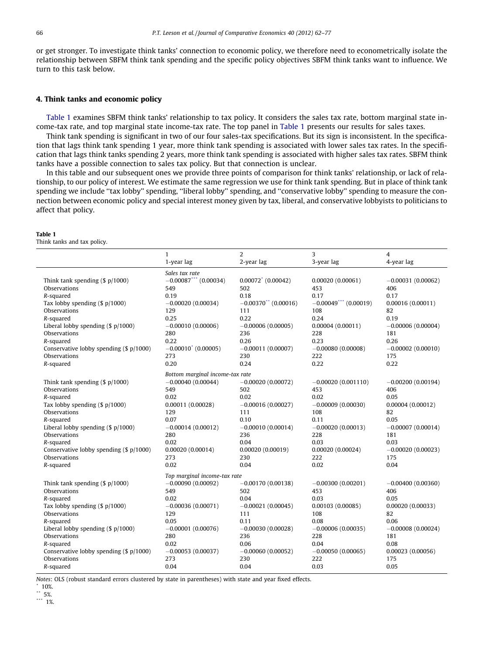<span id="page-4-0"></span>or get stronger. To investigate think tanks' connection to economic policy, we therefore need to econometrically isolate the relationship between SBFM think tank spending and the specific policy objectives SBFM think tanks want to influence. We turn to this task below.

## 4. Think tanks and economic policy

Table 1 examines SBFM think tanks' relationship to tax policy. It considers the sales tax rate, bottom marginal state income-tax rate, and top marginal state income-tax rate. The top panel in Table 1 presents our results for sales taxes.

Think tank spending is significant in two of our four sales-tax specifications. But its sign is inconsistent. In the specification that lags think tank spending 1 year, more think tank spending is associated with lower sales tax rates. In the specification that lags think tanks spending 2 years, more think tank spending is associated with higher sales tax rates. SBFM think tanks have a possible connection to sales tax policy. But that connection is unclear.

In this table and our subsequent ones we provide three points of comparison for think tanks' relationship, or lack of relationship, to our policy of interest. We estimate the same regression we use for think tank spending. But in place of think tank spending we include ''tax lobby'' spending, ''liberal lobby'' spending, and ''conservative lobby'' spending to measure the connection between economic policy and special interest money given by tax, liberal, and conservative lobbyists to politicians to affect that policy.

#### Table 1

Think tanks and tax policy.

|                                                    | $\mathbf{1}$                    | $\overline{2}$          | 3                        | $\overline{4}$      |
|----------------------------------------------------|---------------------------------|-------------------------|--------------------------|---------------------|
|                                                    | 1-year lag                      | 2-year lag              | 3-year lag               | 4-year lag          |
|                                                    | Sales tax rate                  |                         |                          |                     |
| Think tank spending $(\frac{2}{3} p/1000)$         | $-0.00087$ **** (0.00034)       | $0.00072^* (0.00042)$   | 0.00020(0.00061)         | $-0.00031(0.00062)$ |
| Observations                                       | 549                             | 502                     | 453                      | 406                 |
| R-squared                                          | 0.19                            | 0.18                    | 0.17                     | 0.17                |
| Tax lobby spending $(\$ p/1000)$                   | $-0.00020(0.00034)$             | $-0.00370$ ** (0.00016) | $-0.00049$ *** (0.00019) | 0.00016(0.00011)    |
| Observations                                       | 129                             | 111                     | 108                      | 82                  |
| R-squared                                          | 0.25                            | 0.22                    | 0.24                     | 0.19                |
| Liberal lobby spending $(\$ p/1000)$               | $-0.00010(0.00006)$             | $-0.00006(0.00005)$     | 0.00004(0.00011)         | $-0.00006(0.00004)$ |
| Observations                                       | 280                             | 236                     | 228                      | 181                 |
| R-squared                                          | 0.22                            | 0.26                    | 0.23                     | 0.26                |
| Conservative lobby spending $(\$ p/1000)$          | $-0.00010^*$ (0.00005)          | $-0.00011(0.00007)$     | $-0.00080(0.00008)$      | $-0.00002(0.00010)$ |
| Observations                                       | 273                             | 230                     | 222                      | 175                 |
| R-squared                                          | 0.20                            | 0.24                    | 0.22                     | 0.22                |
|                                                    | Bottom marginal income-tax rate |                         |                          |                     |
| Think tank spending $(\$ p/1000)$                  | $-0.00040(0.00044)$             | $-0.00020(0.00072)$     | $-0.00020(0.001110)$     | $-0.00200(0.00194)$ |
| Observations                                       | 549                             | 502                     | 453                      | 406                 |
| R-squared                                          | 0.02                            | 0.02                    | 0.02                     | 0.05                |
| Tax lobby spending $(\$ p/1000)$                   | 0.00011(0.00028)                | $-0.00016(0.00027)$     | $-0.00009(0.00030)$      | 0.00004(0.00012)    |
| Observations                                       | 129                             | 111                     | 108                      | 82                  |
| R-squared                                          | 0.07                            | 0.10                    | 0.11                     | 0.05                |
| Liberal lobby spending $(\$ p/1000)$               | $-0.00014(0.00012)$             | $-0.00010(0.00014)$     | $-0.00020(0.00013)$      | $-0.00007(0.00014)$ |
| Observations                                       | 280                             | 236                     | 228                      | 181                 |
| R-squared                                          | 0.02                            | 0.04                    | 0.03                     | 0.03                |
| Conservative lobby spending $(\$ p/1000)$          | 0.00020(0.00014)                | 0.00020(0.00019)        | 0.00020(0.00024)         | $-0.00020(0.00023)$ |
| Observations                                       | 273                             | 230                     | 222                      | 175                 |
| R-squared                                          | 0.02                            | 0.04                    | 0.02                     | 0.04                |
|                                                    | Top marginal income-tax rate    |                         |                          |                     |
| Think tank spending $(\$ p/1000)$                  | $-0.00090(0.00092)$             | $-0.00170(0.00138)$     | $-0.00300(0.00201)$      | $-0.00400(0.00360)$ |
| Observations                                       | 549                             | 502                     | 453                      | 406                 |
| R-squared                                          | 0.02                            | 0.04                    | 0.03                     | 0.05                |
| Tax lobby spending $(\$ p/1000)$                   | $-0.00036(0.00071)$             | $-0.00021(0.00045)$     | 0.00103(0.00085)         | 0.00020(0.00033)    |
| Observations                                       | 129                             | 111                     | 108                      | 82                  |
| R-squared                                          | 0.05                            | 0.11                    | 0.08                     | 0.06                |
| Liberal lobby spending $($ \$ p $/1000)$           | $-0.00001(0.00076)$             | $-0.00030(0.00028)$     | $-0.00006(0.00035)$      | $-0.00008(0.00024)$ |
| Observations                                       | 280                             | 236                     | 228                      | 181                 |
| R-squared                                          | 0.02                            | 0.06                    | 0.04                     | 0.08                |
| Conservative lobby spending $(\frac{6}{5} p/1000)$ | $-0.00053(0.00037)$             | $-0.00060(0.00052)$     | $-0.00050(0.00065)$      | 0.00023(0.00056)    |
| Observations                                       | 273                             | 230                     | 222                      | 175                 |
| R-squared                                          | 0.04                            | 0.04                    | 0.03                     | 0.05                |
|                                                    |                                 |                         |                          |                     |

Notes: OLS (robust standard errors clustered by state in parentheses) with state and year fixed effects.

 $*$  10%.

\*\* 5%.

\*\*\* 1%.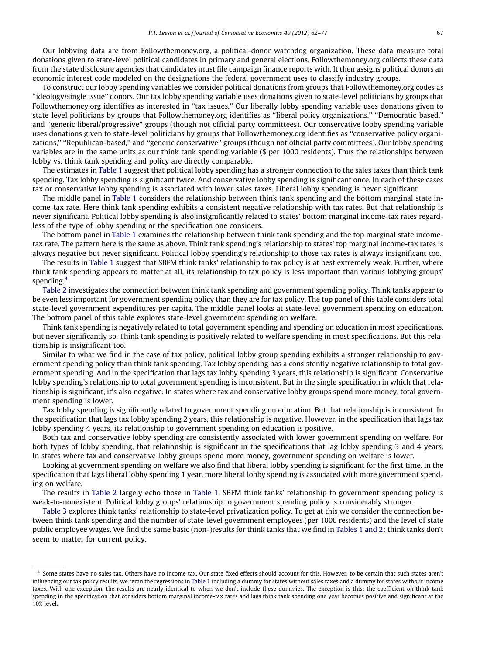Our lobbying data are from Followthemoney.org, a political-donor watchdog organization. These data measure total donations given to state-level political candidates in primary and general elections. Followthemoney.org collects these data from the state disclosure agencies that candidates must file campaign finance reports with. It then assigns political donors an economic interest code modeled on the designations the federal government uses to classify industry groups.

To construct our lobby spending variables we consider political donations from groups that Followthemoney.org codes as ''ideology/single issue'' donors. Our tax lobby spending variable uses donations given to state-level politicians by groups that Followthemoney.org identifies as interested in ''tax issues.'' Our liberally lobby spending variable uses donations given to state-level politicians by groups that Followthemoney.org identifies as ''liberal policy organizations,'' ''Democratic-based,'' and ''generic liberal/progressive'' groups (though not official party committees). Our conservative lobby spending variable uses donations given to state-level politicians by groups that Followthemoney.org identifies as ''conservative policy organizations," "Republican-based," and "generic conservative" groups (though not official party committees). Our lobby spending variables are in the same units as our think tank spending variable (\$ per 1000 residents). Thus the relationships between lobby vs. think tank spending and policy are directly comparable.

The estimates in [Table 1](#page-4-0) suggest that political lobby spending has a stronger connection to the sales taxes than think tank spending. Tax lobby spending is significant twice. And conservative lobby spending is significant once. In each of these cases tax or conservative lobby spending is associated with lower sales taxes. Liberal lobby spending is never significant.

The middle panel in [Table 1](#page-4-0) considers the relationship between think tank spending and the bottom marginal state income-tax rate. Here think tank spending exhibits a consistent negative relationship with tax rates. But that relationship is never significant. Political lobby spending is also insignificantly related to states' bottom marginal income-tax rates regardless of the type of lobby spending or the specification one considers.

The bottom panel in [Table 1](#page-4-0) examines the relationship between think tank spending and the top marginal state incometax rate. The pattern here is the same as above. Think tank spending's relationship to states' top marginal income-tax rates is always negative but never significant. Political lobby spending's relationship to those tax rates is always insignificant too.

The results in [Table 1](#page-4-0) suggest that SBFM think tanks' relationship to tax policy is at best extremely weak. Further, where think tank spending appears to matter at all, its relationship to tax policy is less important than various lobbying groups' spending.<sup>4</sup>

[Table 2](#page-6-0) investigates the connection between think tank spending and government spending policy. Think tanks appear to be even less important for government spending policy than they are for tax policy. The top panel of this table considers total state-level government expenditures per capita. The middle panel looks at state-level government spending on education. The bottom panel of this table explores state-level government spending on welfare.

Think tank spending is negatively related to total government spending and spending on education in most specifications, but never significantly so. Think tank spending is positively related to welfare spending in most specifications. But this relationship is insignificant too.

Similar to what we find in the case of tax policy, political lobby group spending exhibits a stronger relationship to government spending policy than think tank spending. Tax lobby spending has a consistently negative relationship to total government spending. And in the specification that lags tax lobby spending 3 years, this relationship is significant. Conservative lobby spending's relationship to total government spending is inconsistent. But in the single specification in which that relationship is significant, it's also negative. In states where tax and conservative lobby groups spend more money, total government spending is lower.

Tax lobby spending is significantly related to government spending on education. But that relationship is inconsistent. In the specification that lags tax lobby spending 2 years, this relationship is negative. However, in the specification that lags tax lobby spending 4 years, its relationship to government spending on education is positive.

Both tax and conservative lobby spending are consistently associated with lower government spending on welfare. For both types of lobby spending, that relationship is significant in the specifications that lag lobby spending 3 and 4 years. In states where tax and conservative lobby groups spend more money, government spending on welfare is lower.

Looking at government spending on welfare we also find that liberal lobby spending is significant for the first time. In the specification that lags liberal lobby spending 1 year, more liberal lobby spending is associated with more government spending on welfare.

The results in [Table 2](#page-6-0) largely echo those in [Table 1.](#page-4-0) SBFM think tanks' relationship to government spending policy is weak-to-nonexistent. Political lobby groups' relationship to government spending policy is considerably stronger.

[Table 3](#page-7-0) explores think tanks' relationship to state-level privatization policy. To get at this we consider the connection between think tank spending and the number of state-level government employees (per 1000 residents) and the level of state public employee wages. We find the same basic (non-)results for think tanks that we find in [Tables 1 and 2:](#page-4-0) think tanks don't seem to matter for current policy.

<sup>4</sup> Some states have no sales tax. Others have no income tax. Our state fixed effects should account for this. However, to be certain that such states aren't influencing our tax policy results, we reran the regressions in [Table 1](#page-4-0) including a dummy for states without sales taxes and a dummy for states without income taxes. With one exception, the results are nearly identical to when we don't include these dummies. The exception is this: the coefficient on think tank spending in the specification that considers bottom marginal income-tax rates and lags think tank spending one year becomes positive and significant at the 10% level.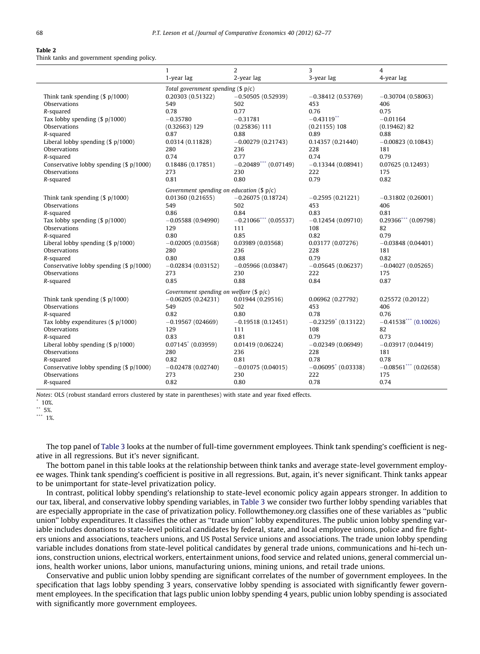## <span id="page-6-0"></span>Table 2

Think tanks and government spending policy.

|                                                    | $\mathbf{1}$                                | $\overline{2}$           | 3                        | 4                                  |
|----------------------------------------------------|---------------------------------------------|--------------------------|--------------------------|------------------------------------|
|                                                    | 1-year lag                                  | 2-year lag               | 3-year lag               | 4-year lag                         |
|                                                    | Total government spending $(\$ p/c)$        |                          |                          |                                    |
| Think tank spending $(\frac{2}{3} p/1000)$         | 0.20303(0.51322)                            | $-0.50505(0.52939)$      | $-0.38412(0.53769)$      | $-0.30704(0.58063)$                |
| Observations                                       | 549                                         | 502                      | 453                      | 406                                |
| R-squared                                          | 0.78                                        | 0.77                     | 0.76                     | 0.75                               |
| Tax lobby spending $(\frac{2}{3} p/1000)$          | $-0.35780$                                  | $-0.31781$               | $-0.43119$ <sup>**</sup> | $-0.01164$                         |
| Observations                                       | $(0.32663)$ 129                             | $(0.25836)$ 111          | (0.21155)108             | $(0.19462)$ 82                     |
| R-squared                                          | 0.87                                        | 0.88                     | 0.89                     | 0.88                               |
| Liberal lobby spending $(\$ p/1000)$               | 0.0314(0.11828)                             | $-0.00279(0.21743)$      | 0.14357(0.21440)         | $-0.00823(0.10843)$                |
| Observations                                       | 280                                         | 236                      | 228                      | 181                                |
| R-squared                                          | 0.74                                        | 0.77                     | 0.74                     | 0.79                               |
| Conservative lobby spending $(\frac{6}{5} p/1000)$ | 0.18486(0.17851)                            | $-0.20489$ *** (0.07149) | $-0.13344(0.08941)$      | 0.07625(0.12493)                   |
| Observations                                       | 273                                         | 230                      | 222                      | 175                                |
| R-squared                                          | 0.81                                        | 0.80                     | 0.79                     | 0.82                               |
|                                                    | Government spending on education $(\$ p/c)$ |                          |                          |                                    |
| Think tank spending $(\$ p/1000)$                  | 0.01360(0.21655)                            | $-0.26075(0.18724)$      | $-0.2595(0.21221)$       | $-0.31802(0.26001)$                |
| Observations                                       | 549                                         | 502                      | 453                      | 406                                |
| R-squared                                          | 0.86                                        | 0.84                     | 0.83                     | 0.81                               |
| Tax lobby spending $(\$ p/1000)$                   | $-0.05588(0.94990)$                         | $-0.21066$ *** (0.05537) | $-0.12454(0.09710)$      | $0.29366$ <sup>***</sup> (0.09798) |
| Observations                                       | 129                                         | 111                      | 108                      | 82                                 |
| R-squared                                          | 0.80                                        | 0.85                     | 0.82                     | 0.79                               |
| Liberal lobby spending $(\frac{2}{3} p/1000)$      | $-0.02005(0.03568)$                         | 0.03989(0.03568)         | 0.03177 (0.07276)        | $-0.03848(0.04401)$                |
| Observations                                       | 280                                         | 236                      | 228                      | 181                                |
| R-squared                                          | 0.80                                        | 0.88                     | 0.79                     | 0.82                               |
| Conservative lobby spending (\$ p/1000)            | $-0.02834(0.03152)$                         | $-0.05966(0.03847)$      | $-0.05645(0.06237)$      | $-0.04027(0.05265)$                |
| Observations                                       | 273                                         | 230                      | 222                      | 175                                |
| R-squared                                          | 0.85                                        | 0.88                     | 0.84                     | 0.87                               |
|                                                    | Government spending on welfare $(\$ p/c)$   |                          |                          |                                    |
| Think tank spending $(\$ p/1000)$                  | $-0.06205(0.24231)$                         | 0.01944(0.29516)         | 0.06962(0.27792)         | 0.25572 (0.20122)                  |
| Observations                                       | 549                                         | 502                      | 453                      | 406                                |
| R-squared                                          | 0.82                                        | 0.80                     | 0.78                     | 0.76                               |
| Tax lobby expenditures $(\$ \text{p}/1000)$        | $-0.19567(024669)$                          | $-0.19518(0.12451)$      | $-0.23259$ (0.13122)     | $-0.41538$ (0.10026)               |
| Observations                                       | 129                                         | 111                      | 108                      | 82                                 |
| R-squared                                          | 0.83                                        | 0.81                     | 0.79                     | 0.73                               |
| Liberal lobby spending $($ \$ p $/1000)$           | $0.07145$ (0.03959)                         | 0.01419(0.06224)         | $-0.02349(0.06949)$      | $-0.03917(0.04419)$                |
| Observations                                       | 280                                         | 236                      | 228                      | 181                                |
| R-squared                                          | 0.82                                        | 0.81                     | 0.78                     | 0.78                               |
| Conservative lobby spending $(\frac{6}{5} p/1000)$ | $-0.02478(0.02740)$                         | $-0.01075(0.04015)$      | $-0.06095$ (0.03338)     | $-0.08561$ *** (0.02658)           |
| Observations                                       | 273                                         | 230                      | 222                      | 175                                |
| R-squared                                          | 0.82                                        | 0.80                     | 0.78                     | 0.74                               |
|                                                    |                                             |                          |                          |                                    |

Notes: OLS (robust standard errors clustered by state in parentheses) with state and year fixed effects.

 $^{\circ}$  10%.

 $**$  5%.

\*\*\*  $1\%$ .

The top panel of [Table 3](#page-7-0) looks at the number of full-time government employees. Think tank spending's coefficient is negative in all regressions. But it's never significant.

The bottom panel in this table looks at the relationship between think tanks and average state-level government employee wages. Think tank spending's coefficient is positive in all regressions. But, again, it's never significant. Think tanks appear to be unimportant for state-level privatization policy.

In contrast, political lobby spending's relationship to state-level economic policy again appears stronger. In addition to our tax, liberal, and conservative lobby spending variables, in [Table 3](#page-7-0) we consider two further lobby spending variables that are especially appropriate in the case of privatization policy. Followthemoney.org classifies one of these variables as ''public union'' lobby expenditures. It classifies the other as ''trade union'' lobby expenditures. The public union lobby spending variable includes donations to state-level political candidates by federal, state, and local employee unions, police and fire fighters unions and associations, teachers unions, and US Postal Service unions and associations. The trade union lobby spending variable includes donations from state-level political candidates by general trade unions, communications and hi-tech unions, construction unions, electrical workers, entertainment unions, food service and related unions, general commercial unions, health worker unions, labor unions, manufacturing unions, mining unions, and retail trade unions.

Conservative and public union lobby spending are significant correlates of the number of government employees. In the specification that lags lobby spending 3 years, conservative lobby spending is associated with significantly fewer government employees. In the specification that lags public union lobby spending 4 years, public union lobby spending is associated with significantly more government employees.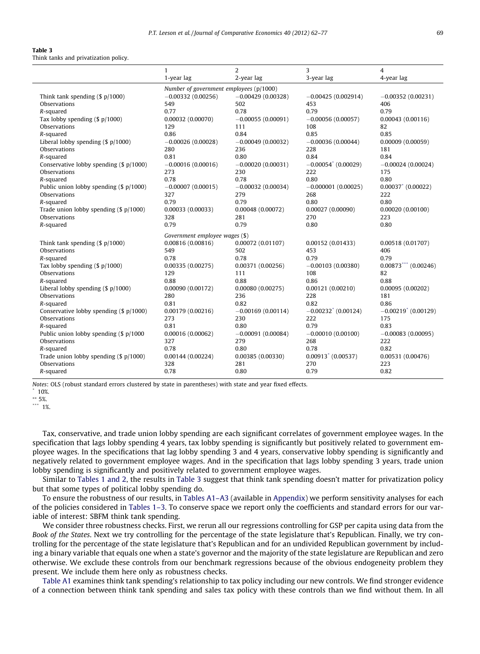#### <span id="page-7-0"></span>Table 3

Think tanks and privatization policy.

|                                                    | $\mathbf{1}$                            | $\overline{2}$      | 3                              | $\overline{4}$       |
|----------------------------------------------------|-----------------------------------------|---------------------|--------------------------------|----------------------|
|                                                    | 1-year lag                              | 2-year lag          | 3-year lag                     | 4-year lag           |
|                                                    | Number of government employees (p/1000) |                     |                                |                      |
| Think tank spending $(\$ p/1000)$                  | $-0.00332(0.00256)$                     | $-0.00429(0.00328)$ | $-0.00425(0.002914)$           | $-0.00352(0.00231)$  |
| Observations                                       | 549                                     | 502                 | 453                            | 406                  |
| R-squared                                          | 0.77                                    | 0.78                | 0.79                           | 0.79                 |
| Tax lobby spending $($p/1000)$                     | 0.00032(0.00070)                        | $-0.00055(0.00091)$ | $-0.00056(0.00057)$            | 0.00043(0.00116)     |
| Observations                                       | 129                                     | 111                 | 108                            | 82                   |
| R-squared                                          | 0.86                                    | 0.84                | 0.85                           | 0.85                 |
| Liberal lobby spending $(\$ p/1000)$               | $-0.00026(0.00028)$                     | $-0.00049(0.00032)$ | $-0.00036(0.00044)$            | 0.00009(0.00059)     |
| Observations                                       | 280                                     | 236                 | 228                            | 181                  |
| R-squared                                          | 0.81                                    | 0.80                | 0.84                           | 0.84                 |
| Conservative lobby spending $(\frac{6}{5} p/1000)$ | $-0.00016(0.00016)$                     | $-0.00020(0.00031)$ | $-0.00054^{\degree}$ (0.00029) | $-0.00024(0.00024)$  |
| Observations                                       | 273                                     | 230                 | 222                            | 175                  |
| R-squared                                          | 0.78                                    | 0.78                | 0.80                           | 0.80                 |
| Public union lobby spending $(\frac{2}{3} p/1000)$ | $-0.00007(0.00015)$                     | $-0.00032(0.00034)$ | $-0.000001(0.00025)$           | $0.00037$ (0.00022)  |
| Observations                                       | 327                                     | 279                 | 268                            | 222                  |
| R-squared                                          | 0.79                                    | 0.79                | 0.80                           | 0.80                 |
| Trade union lobby spending $(\$ p/1000)$           | 0.00033(0.00033)                        | 0.00048(0.00072)    | 0.00027(0.00090)               | 0.00020(0.00100)     |
| Observations                                       | 328                                     | 281                 | 270                            | 223                  |
| R-squared                                          | 0.79                                    | 0.79                | 0.80                           | 0.80                 |
|                                                    | Government employee wages (\$)          |                     |                                |                      |
| Think tank spending $(\$ p/1000)$                  | 0.00816(0.00816)                        | 0.00072(0.01107)    | 0.00152(0.01433)               | 0.00518(0.01707)     |
| Observations                                       | 549                                     | 502                 | 453                            | 406                  |
| R-squared                                          | 0.78                                    | 0.78                | 0.79                           | 0.79                 |
| Tax lobby spending $($p/1000)$                     | 0.00335(0.00275)                        | 0.00371(0.00256)    | $-0.00103(0.00380)$            | $0.00873$ (0.00246)  |
| Observations                                       | 129                                     | 111                 | 108                            | 82                   |
| R-squared                                          | 0.88                                    | 0.88                | 0.86                           | 0.88                 |
| Liberal lobby spending $(\$ p/1000)$               | 0.00090(0.00172)                        | 0.00080(0.00275)    | 0.00121(0.00210)               | 0.00095(0.00202)     |
| Observations                                       | 280                                     | 236                 | 228                            | 181                  |
| R-squared                                          | 0.81                                    | 0.82                | 0.82                           | 0.86                 |
| Conservative lobby spending $(\$ p/1000)$          | 0.00179(0.00216)                        | $-0.00169(0.00114)$ | $-0.00232$ (0.00124)           | $-0.00219$ (0.00129) |
| Observations                                       | 273                                     | 230                 | 222                            | 175                  |
| R-squared                                          | 0.81                                    | 0.80                | 0.79                           | 0.83                 |
| Public union lobby spending (\$ p/1000             | 0.00016(0.00062)                        | $-0.00091(0.00084)$ | $-0.00010(0.00100)$            | $-0.00083(0.00095)$  |
| Observations                                       | 327                                     | 279                 | 268                            | 222                  |
| R-squared                                          | 0.78                                    | 0.80                | 0.78                           | 0.82                 |
| Trade union lobby spending $(\frac{6}{5} p/1000)$  | 0.00144(0.00224)                        | 0.00385(0.00330)    | $0.00913$ (0.00537)            | 0.00531(0.00476)     |
| Observations                                       | 328                                     | 281                 | 270                            | 223                  |
| R-squared                                          | 0.78                                    | 0.80                | 0.79                           | 0.82                 |

Notes: OLS (robust standard errors clustered by state in parentheses) with state and year fixed effects.

10%.

⁄⁄ 5%.

\*\*\*  $1\%$ .

Tax, conservative, and trade union lobby spending are each significant correlates of government employee wages. In the specification that lags lobby spending 4 years, tax lobby spending is significantly but positively related to government employee wages. In the specifications that lag lobby spending 3 and 4 years, conservative lobby spending is significantly and negatively related to government employee wages. And in the specification that lags lobby spending 3 years, trade union lobby spending is significantly and positively related to government employee wages.

Similar to [Tables 1 and 2](#page-4-0), the results in Table 3 suggest that think tank spending doesn't matter for privatization policy but that some types of political lobby spending do.

To ensure the robustness of our results, in [Tables A1–A3](#page-11-0) (available in Appendix) we perform sensitivity analyses for each of the policies considered in [Tables 1–3](#page-4-0). To conserve space we report only the coefficients and standard errors for our variable of interest: SBFM think tank spending.

We consider three robustness checks. First, we rerun all our regressions controlling for GSP per capita using data from the Book of the States. Next we try controlling for the percentage of the state legislature that's Republican. Finally, we try controlling for the percentage of the state legislature that's Republican and for an undivided Republican government by including a binary variable that equals one when a state's governor and the majority of the state legislature are Republican and zero otherwise. We exclude these controls from our benchmark regressions because of the obvious endogeneity problem they present. We include them here only as robustness checks.

[Table A1](#page-11-0) examines think tank spending's relationship to tax policy including our new controls. We find stronger evidence of a connection between think tank spending and sales tax policy with these controls than we find without them. In all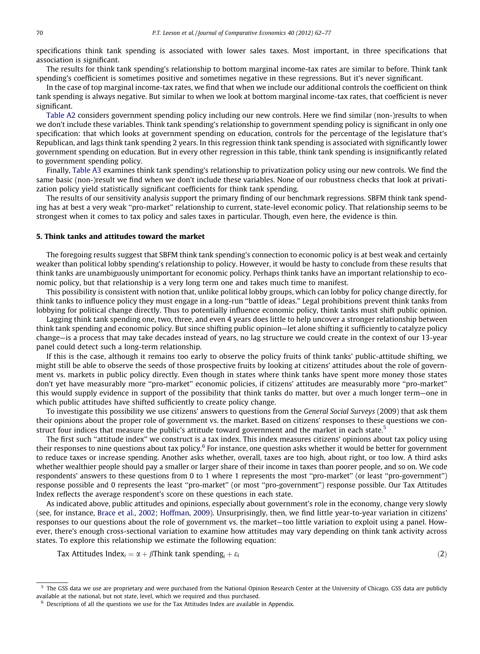<span id="page-8-0"></span>specifications think tank spending is associated with lower sales taxes. Most important, in three specifications that association is significant.

The results for think tank spending's relationship to bottom marginal income-tax rates are similar to before. Think tank spending's coefficient is sometimes positive and sometimes negative in these regressions. But it's never significant.

In the case of top marginal income-tax rates, we find that when we include our additional controls the coefficient on think tank spending is always negative. But similar to when we look at bottom marginal income-tax rates, that coefficient is never significant.

[Table A2](#page-12-0) considers government spending policy including our new controls. Here we find similar (non-)results to when we don't include these variables. Think tank spending's relationship to government spending policy is significant in only one specification: that which looks at government spending on education, controls for the percentage of the legislature that's Republican, and lags think tank spending 2 years. In this regression think tank spending is associated with significantly lower government spending on education. But in every other regression in this table, think tank spending is insignificantly related to government spending policy.

Finally, [Table A3](#page-12-0) examines think tank spending's relationship to privatization policy using our new controls. We find the same basic (non-)result we find when we don't include these variables. None of our robustness checks that look at privatization policy yield statistically significant coefficients for think tank spending.

The results of our sensitivity analysis support the primary finding of our benchmark regressions. SBFM think tank spending has at best a very weak ''pro-market'' relationship to current, state-level economic policy. That relationship seems to be strongest when it comes to tax policy and sales taxes in particular. Though, even here, the evidence is thin.

## 5. Think tanks and attitudes toward the market

The foregoing results suggest that SBFM think tank spending's connection to economic policy is at best weak and certainly weaker than political lobby spending's relationship to policy. However, it would be hasty to conclude from these results that think tanks are unambiguously unimportant for economic policy. Perhaps think tanks have an important relationship to economic policy, but that relationship is a very long term one and takes much time to manifest.

This possibility is consistent with notion that, unlike political lobby groups, which can lobby for policy change directly, for think tanks to influence policy they must engage in a long-run ''battle of ideas.'' Legal prohibitions prevent think tanks from lobbying for political change directly. Thus to potentially influence economic policy, think tanks must shift public opinion.

Lagging think tank spending one, two, three, and even 4 years does little to help uncover a stronger relationship between think tank spending and economic policy. But since shifting public opinion—let alone shifting it sufficiently to catalyze policy change—is a process that may take decades instead of years, no lag structure we could create in the context of our 13-year panel could detect such a long-term relationship.

If this is the case, although it remains too early to observe the policy fruits of think tanks' public-attitude shifting, we might still be able to observe the seeds of those prospective fruits by looking at citizens' attitudes about the role of government vs. markets in public policy directly. Even though in states where think tanks have spent more money those states don't yet have measurably more ''pro-market'' economic policies, if citizens' attitudes are measurably more ''pro-market'' this would supply evidence in support of the possibility that think tanks do matter, but over a much longer term—one in which public attitudes have shifted sufficiently to create policy change.

To investigate this possibility we use citizens' answers to questions from the General Social Surveys (2009) that ask them their opinions about the proper role of government vs. the market. Based on citizens' responses to these questions we construct four indices that measure the public's attitude toward government and the market in each state.<sup>5</sup>

The first such "attitude index" we construct is a tax index. This index measures citizens' opinions about tax policy using their responses to nine questions about tax policy.<sup>6</sup> For instance, one question asks whether it would be better for government to reduce taxes or increase spending. Another asks whether, overall, taxes are too high, about right, or too low. A third asks whether wealthier people should pay a smaller or larger share of their income in taxes than poorer people, and so on. We code respondents' answers to these questions from 0 to 1 where 1 represents the most ''pro-market'' (or least ''pro-government'') response possible and 0 represents the least ''pro-market'' (or most ''pro-government'') response possible. Our Tax Attitudes Index reflects the average respondent's score on these questions in each state.

As indicated above, public attitudes and opinions, especially about government's role in the economy, change very slowly (see, for instance, [Brace et al., 2002; Hoffman, 2009](#page-15-0)). Unsurprisingly, then, we find little year-to-year variation in citizens' responses to our questions about the role of government vs. the market—too little variation to exploit using a panel. However, there's enough cross-sectional variation to examine how attitudes may vary depending on think tank activity across states. To explore this relationship we estimate the following equation:

Tax Attitudes Index<sub>i</sub> =  $\alpha + \beta$ Think tank spending<sub>i</sub> +  $\varepsilon_i$  (2)

The GSS data we use are proprietary and were purchased from the National Opinion Research Center at the University of Chicago. GSS data are publicly available at the national, but not state, level, which we required and thus purchased.

 $6$  Descriptions of all the questions we use for the Tax Attitudes Index are available in Appendix.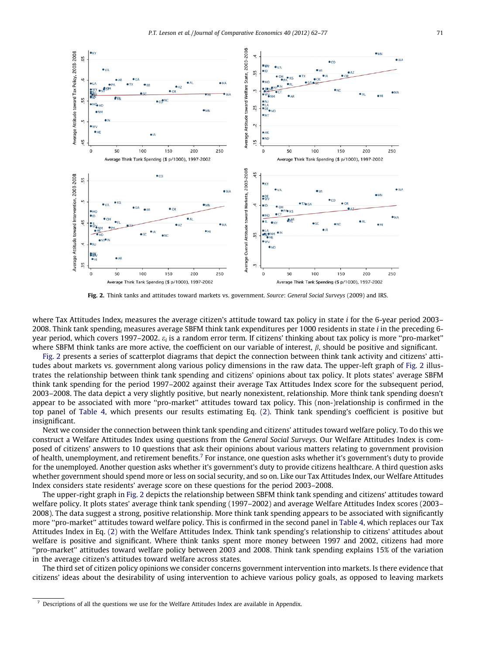<span id="page-9-0"></span>

Fig. 2. Think tanks and attitudes toward markets vs. government. Source: General Social Surveys (2009) and IRS.

where Tax Attitudes Index<sub>i</sub> measures the average citizen's attitude toward tax policy in state *i* for the 6-year period 2003– 2008. Think tank spending<sub>i</sub> measures average SBFM think tank expenditures per 1000 residents in state *i* in the preceding 6year period, which covers 1997–2002.  $\varepsilon_i$  is a random error term. If citizens' thinking about tax policy is more "pro-market" where SBFM think tanks are more active, the coefficient on our variable of interest,  $\beta$ , should be positive and significant.

Fig. 2 presents a series of scatterplot diagrams that depict the connection between think tank activity and citizens' attitudes about markets vs. government along various policy dimensions in the raw data. The upper-left graph of Fig. 2 illustrates the relationship between think tank spending and citizens' opinions about tax policy. It plots states' average SBFM think tank spending for the period 1997–2002 against their average Tax Attitudes Index score for the subsequent period, 2003–2008. The data depict a very slightly positive, but nearly nonexistent, relationship. More think tank spending doesn't appear to be associated with more ''pro-market'' attitudes toward tax policy. This (non-)relationship is confirmed in the top panel of [Table 4](#page-10-0), which presents our results estimating Eq. [\(2\).](#page-8-0) Think tank spending's coefficient is positive but insignificant.

Next we consider the connection between think tank spending and citizens' attitudes toward welfare policy. To do this we construct a Welfare Attitudes Index using questions from the General Social Surveys. Our Welfare Attitudes Index is composed of citizens' answers to 10 questions that ask their opinions about various matters relating to government provision of health, unemployment, and retirement benefits.<sup>7</sup> For instance, one question asks whether it's government's duty to provide for the unemployed. Another question asks whether it's government's duty to provide citizens healthcare. A third question asks whether government should spend more or less on social security, and so on. Like our Tax Attitudes Index, our Welfare Attitudes Index considers state residents' average score on these questions for the period 2003–2008.

The upper-right graph in Fig. 2 depicts the relationship between SBFM think tank spending and citizens' attitudes toward welfare policy. It plots states' average think tank spending (1997–2002) and average Welfare Attitudes Index scores (2003– 2008). The data suggest a strong, positive relationship. More think tank spending appears to be associated with significantly more ''pro-market'' attitudes toward welfare policy. This is confirmed in the second panel in [Table 4](#page-10-0), which replaces our Tax Attitudes Index in Eq. [\(2\)](#page-8-0) with the Welfare Attitudes Index. Think tank spending's relationship to citizens' attitudes about welfare is positive and significant. Where think tanks spent more money between 1997 and 2002, citizens had more ''pro-market'' attitudes toward welfare policy between 2003 and 2008. Think tank spending explains 15% of the variation in the average citizen's attitudes toward welfare across states.

The third set of citizen policy opinions we consider concerns government intervention into markets. Is there evidence that citizens' ideas about the desirability of using intervention to achieve various policy goals, as opposed to leaving markets

 $<sup>7</sup>$  Descriptions of all the questions we use for the Welfare Attitudes Index are available in Appendix.</sup>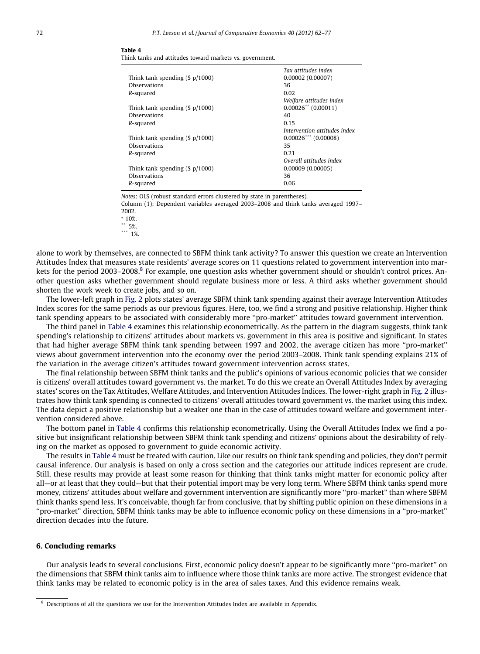|                                            | Tax attitudes index                |
|--------------------------------------------|------------------------------------|
| Think tank spending $(\$ p/1000)$          | 0.00002(0.00007)                   |
| Observations                               | 36                                 |
| R-squared                                  | 0.02                               |
|                                            | Welfare attitudes index            |
| Think tank spending $(\$ p/1000)$          | $0.00026$ (0.00011)                |
| Observations                               | 40                                 |
| R-squared                                  | 0.15                               |
|                                            | Intervention attitudes index       |
| Think tank spending $(\frac{2}{3} p/1000)$ | $0.00026$ <sup>***</sup> (0.00008) |
| Observations                               | 35                                 |
| R-squared                                  | 0.21                               |
|                                            | Overall attitudes index            |
| Think tank spending $(\$ p/1000)$          | 0.00009(0.00005)                   |
| Observations                               | 36                                 |
| R-squared                                  | 0.06                               |
|                                            |                                    |

## <span id="page-10-0"></span>Table 4

Think tanks and attitudes toward markets vs. government.

Notes: OLS (robust standard errors clustered by state in parentheses).

Column (1): Dependent variables averaged 2003–2008 and think tanks averaged 1997– 2002.

 $*10%$ . \*\* 5%.

\*\*\* 1%.

alone to work by themselves, are connected to SBFM think tank activity? To answer this question we create an Intervention Attitudes Index that measures state residents' average scores on 11 questions related to government intervention into markets for the period 2003–2008.<sup>8</sup> For example, one question asks whether government should or shouldn't control prices. Another question asks whether government should regulate business more or less. A third asks whether government should shorten the work week to create jobs, and so on.

The lower-left graph in [Fig. 2](#page-9-0) plots states' average SBFM think tank spending against their average Intervention Attitudes Index scores for the same periods as our previous figures. Here, too, we find a strong and positive relationship. Higher think tank spending appears to be associated with considerably more ''pro-market'' attitudes toward government intervention.

The third panel in Table 4 examines this relationship econometrically. As the pattern in the diagram suggests, think tank spending's relationship to citizens' attitudes about markets vs. government in this area is positive and significant. In states that had higher average SBFM think tank spending between 1997 and 2002, the average citizen has more ''pro-market'' views about government intervention into the economy over the period 2003–2008. Think tank spending explains 21% of the variation in the average citizen's attitudes toward government intervention across states.

The final relationship between SBFM think tanks and the public's opinions of various economic policies that we consider is citizens' overall attitudes toward government vs. the market. To do this we create an Overall Attitudes Index by averaging states' scores on the Tax Attitudes, Welfare Attitudes, and Intervention Attitudes Indices. The lower-right graph in [Fig. 2](#page-9-0) illustrates how think tank spending is connected to citizens' overall attitudes toward government vs. the market using this index. The data depict a positive relationship but a weaker one than in the case of attitudes toward welfare and government intervention considered above.

The bottom panel in Table 4 confirms this relationship econometrically. Using the Overall Attitudes Index we find a positive but insignificant relationship between SBFM think tank spending and citizens' opinions about the desirability of relying on the market as opposed to government to guide economic activity.

The results in Table 4 must be treated with caution. Like our results on think tank spending and policies, they don't permit causal inference. Our analysis is based on only a cross section and the categories our attitude indices represent are crude. Still, these results may provide at least some reason for thinking that think tanks might matter for economic policy after all—or at least that they could—but that their potential import may be very long term. Where SBFM think tanks spend more money, citizens' attitudes about welfare and government intervention are significantly more ''pro-market'' than where SBFM think thanks spend less. It's conceivable, though far from conclusive, that by shifting public opinion on these dimensions in a ''pro-market'' direction, SBFM think tanks may be able to influence economic policy on these dimensions in a ''pro-market'' direction decades into the future.

## 6. Concluding remarks

Our analysis leads to several conclusions. First, economic policy doesn't appear to be significantly more ''pro-market'' on the dimensions that SBFM think tanks aim to influence where those think tanks are more active. The strongest evidence that think tanks may be related to economic policy is in the area of sales taxes. And this evidence remains weak.

<sup>8</sup> Descriptions of all the questions we use for the Intervention Attitudes Index are available in Appendix.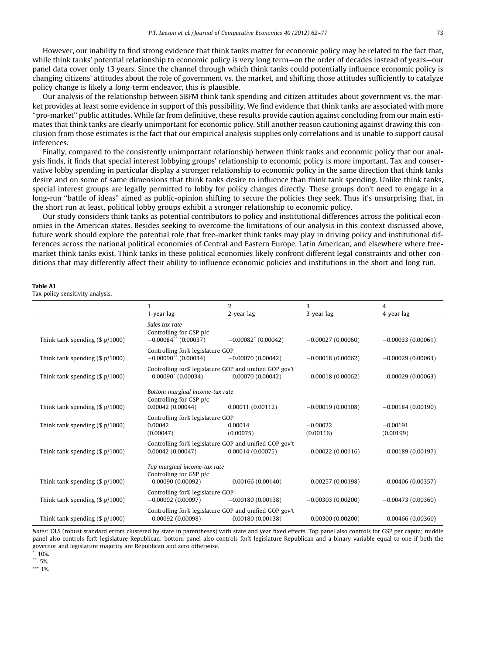<span id="page-11-0"></span>However, our inability to find strong evidence that think tanks matter for economic policy may be related to the fact that, while think tanks' potential relationship to economic policy is very long term—on the order of decades instead of years—our panel data cover only 13 years. Since the channel through which think tanks could potentially influence economic policy is changing citizens' attitudes about the role of government vs. the market, and shifting those attitudes sufficiently to catalyze policy change is likely a long-term endeavor, this is plausible.

Our analysis of the relationship between SBFM think tank spending and citizen attitudes about government vs. the market provides at least some evidence in support of this possibility. We find evidence that think tanks are associated with more ''pro-market'' public attitudes. While far from definitive, these results provide caution against concluding from our main estimates that think tanks are clearly unimportant for economic policy. Still another reason cautioning against drawing this conclusion from those estimates is the fact that our empirical analysis supplies only correlations and is unable to support causal inferences.

Finally, compared to the consistently unimportant relationship between think tanks and economic policy that our analysis finds, it finds that special interest lobbying groups' relationship to economic policy is more important. Tax and conservative lobby spending in particular display a stronger relationship to economic policy in the same direction that think tanks desire and on some of same dimensions that think tanks desire to influence than think tank spending. Unlike think tanks, special interest groups are legally permitted to lobby for policy changes directly. These groups don't need to engage in a long-run ''battle of ideas'' aimed as public-opinion shifting to secure the policies they seek. Thus it's unsurprising that, in the short run at least, political lobby groups exhibit a stronger relationship to economic policy.

Our study considers think tanks as potential contributors to policy and institutional differences across the political economies in the American states. Besides seeking to overcome the limitations of our analysis in this context discussed above, future work should explore the potential role that free-market think tanks may play in driving policy and institutional differences across the national political economies of Central and Eastern Europe, Latin American, and elsewhere where freemarket think tanks exist. Think tanks in these political economies likely confront different legal constraints and other conditions that may differently affect their ability to influence economic policies and institutions in the short and long run.

#### Table A1

Tax policy sensitivity analysis.

|                                            |                                                                                  | $\overline{2}$                                                                | 3                       | 4                       |
|--------------------------------------------|----------------------------------------------------------------------------------|-------------------------------------------------------------------------------|-------------------------|-------------------------|
|                                            | 1-year lag                                                                       | 2-year lag                                                                    | 3-year lag              | 4-year lag              |
| Think tank spending $(\$ p/1000)$          | Sales tax rate<br>Controlling for GSP $p/c$<br>$-0.00084$ ** (0.00037)           | $-0.00082$ <sup>*</sup> (0.00042)                                             | $-0.00027(0.00060)$     | $-0.00033(0.00061)$     |
| Think tank spending $(\$ p/1000)$          | Controlling for% legislature GOP<br>$-0.00090$ <sup>**</sup> (0.00034)           | $-0.00070(0.00042)$                                                           | $-0.00018(0.00062)$     | $-0.00029(0.00063)$     |
| Think tank spending $(\frac{2}{3} p/1000)$ | $-0.00090$ <sup>*</sup> (0.00034)                                                | Controlling for% legislature GOP and unified GOP gov't<br>$-0.00070(0.00042)$ | $-0.00018(0.00062)$     | $-0.00029(0.00063)$     |
| Think tank spending $(\$ p/1000)$          | Bottom marginal income-tax rate<br>Controlling for GSP p/c<br>0.00042(0.00044)   | 0.00011(0.00112)                                                              | $-0.00019(0.00108)$     | $-0.00184(0.00190)$     |
| Think tank spending $(\$ p/1000)$          | Controlling for% legislature GOP<br>0.00042<br>(0.00047)                         | 0.00014<br>(0.00075)                                                          | $-0.00022$<br>(0.00116) | $-0.00191$<br>(0.00199) |
| Think tank spending $(\$ p/1000)$          | 0.00042(0.00047)                                                                 | Controlling for% legislature GOP and unified GOP gov't<br>0.00014(0.00075)    | $-0.00022(0.00116)$     | $-0.00189(0.00197)$     |
| Think tank spending $(\$ p/1000)$          | Top marginal income-tax rate<br>Controlling for GSP $p/c$<br>$-0.00090(0.00092)$ | $-0.00166(0.00140)$                                                           | $-0.00257(0.00198)$     | $-0.00406(0.00357)$     |
| Think tank spending $(\$ p/1000)$          | Controlling for% legislature GOP<br>$-0.00092(0.00097)$                          | $-0.00180(0.00138)$                                                           | $-0.00303(0.00200)$     | $-0.00473(0.00360)$     |
| Think tank spending $(\$ p/1000)$          | $-0.00092(0.00098)$                                                              | Controlling for% legislature GOP and unified GOP gov't<br>$-0.00180(0.00138)$ | $-0.00300(0.00200)$     | $-0.00466(0.00360)$     |

Notes: OLS (robust standard errors clustered by state in parentheses) with state and year fixed effects. Top panel also controls for GSP per capita; middle panel also controls for% legislature Republican; bottom panel also controls for% legislature Republican and a binary variable equal to one if both the governor and legislature majority are Republican and zero otherwise.

 $*$  10%.

\*\* 5%.

⁄⁄⁄ 1%.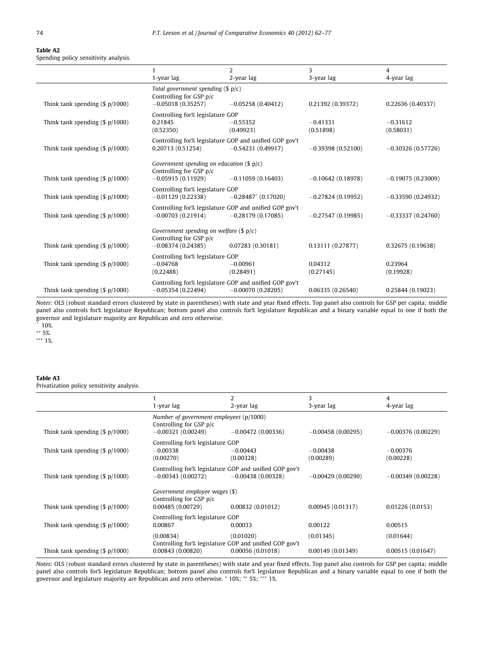## <span id="page-12-0"></span>Table A2

Spending policy sensitivity analysis.

|                                            | 1                                                                             | $\overline{2}$                                         | 3                   | 4                   |
|--------------------------------------------|-------------------------------------------------------------------------------|--------------------------------------------------------|---------------------|---------------------|
|                                            | 1-year lag                                                                    | 2-year lag                                             | 3-year lag          | 4-year lag          |
|                                            | Total government spending $(\$ p/c)$                                          |                                                        |                     |                     |
|                                            | Controlling for GSP p/c                                                       |                                                        |                     |                     |
| Think tank spending $(\$ p/1000)$          | $-0.05018(0.35257)$                                                           | $-0.05258(0.40412)$                                    | 0.21392(0.39372)    | 0.22636(0.40337)    |
|                                            | Controlling for% legislature GOP                                              |                                                        |                     |                     |
| Think tank spending $(\$ p/1000)$          | 0.21845                                                                       | $-0.55352$                                             | $-0.41331$          | $-0.31612$          |
|                                            | (0.52350)                                                                     | (0.49923)                                              | (0.51898)           | (0.58031)           |
|                                            |                                                                               | Controlling for% legislature GOP and unified GOP gov't |                     |                     |
| Think tank spending $(\$ p/1000)$          | 0.20713(0.51254)                                                              | $-0.54231(0.49917)$                                    | $-0.39398(0.52100)$ | $-0.30326(0.57726)$ |
|                                            |                                                                               |                                                        |                     |                     |
|                                            | Government spending on education $(\frac{1}{2} p/c)$                          |                                                        |                     |                     |
|                                            | Controlling for GSP p/c                                                       |                                                        |                     |                     |
| Think tank spending $(\frac{2}{3} p/1000)$ | $-0.05915(0.11929)$                                                           | $-0.11059(0.16403)$                                    | $-0.10642(0.18978)$ | $-0.19075(0.23009)$ |
|                                            | Controlling for% legislature GOP                                              |                                                        |                     |                     |
| Think tank spending $(\frac{2}{3} p/1000)$ | $-0.01129(0.22338)$                                                           | $-0.28487$ (0.17020)                                   | $-0.27824(0.19952)$ | $-0.33590(0.24932)$ |
|                                            |                                                                               | Controlling for% legislature GOP and unified GOP gov't |                     |                     |
| Think tank spending $(\$ p/1000)$          | $-0.00703(0.21914)$                                                           | $-0.28179(0.17085)$                                    | $-0.27547(0.19985)$ | $-0.33337(0.24760)$ |
|                                            |                                                                               |                                                        |                     |                     |
|                                            | Government spending on welfare $(\frac{e}{2} p/c)$<br>Controlling for GSP p/c |                                                        |                     |                     |
| Think tank spending $(\$ p/1000)$          | $-0.08374(0.24385)$                                                           | 0.07283(0.30181)                                       | 0.13111(0.27877)    | 0.32675(0.19638)    |
|                                            |                                                                               |                                                        |                     |                     |
|                                            | Controlling for% legislature GOP                                              |                                                        |                     |                     |
| Think tank spending $(\$ p/1000)$          | $-0.04768$                                                                    | $-0.00961$                                             | 0.04312             | 0.23964             |
|                                            | (0.22488)                                                                     | (0.28491)                                              | (0.27145)           | (0.19928)           |
|                                            |                                                                               | Controlling for% legislature GOP and unified GOP gov't |                     |                     |
| Think tank spending $(\$ p/1000)$          | $-0.05354(0.22494)$                                                           | $-0.00070(0.28205)$                                    | 0.06335(0.26540)    | 0.25844(0.19023)    |

Notes: OLS (robust standard errors clustered by state in parentheses) with state and year fixed effects. Top panel also controls for GSP per capita; middle panel also controls for% legislature Republican; bottom panel also controls for% legislature Republican and a binary variable equal to one if both the governor and legislature majority are Republican and zero otherwise.

#### 10%.

 $*$  5%.

 $***1\%$ .

## Table A3

Privatization policy sensitivity analysis.

|                                            |                                                                                             | $\mathfrak{D}$                                                                | 3                       | 4                       |
|--------------------------------------------|---------------------------------------------------------------------------------------------|-------------------------------------------------------------------------------|-------------------------|-------------------------|
|                                            | 1-year lag                                                                                  | 2-year lag                                                                    | 3-year lag              | 4-year lag              |
| Think tank spending $(\frac{2}{3} p/1000)$ | Number of government employees (p/1000)<br>Controlling for GSP $p/c$<br>$-0.00321(0.00249)$ | $-0.00472(0.00336)$                                                           | $-0.00458(0.00295)$     | $-0.00376(0.00229)$     |
|                                            |                                                                                             |                                                                               |                         |                         |
| Think tank spending $(\$ p/1000)$          | Controlling for% legislature GOP<br>$-0.00338$<br>(0.00270)                                 | $-0.00443$<br>(0.00328)                                                       | $-0.00438$<br>(0.00289) | $-0.00376$<br>(0.00228) |
| Think tank spending $(\frac{2}{3} p/1000)$ | $-0.00343(0.00272)$                                                                         | Controlling for% legislature GOP and unified GOP gov't<br>$-0.00438(0.00328)$ | $-0.00429(0.00290)$     | $-0.00349(0.00228)$     |
| Think tank spending $(\frac{2}{3} p/1000)$ | Government employee wages (\$)<br>Controlling for GSP $p/c$<br>0.00485(0.00729)             | 0.00832(0.01012)                                                              | 0.00945(0.01317)        | 0.01226(0.0153)         |
| Think tank spending $(\frac{2}{3} p/1000)$ | Controlling for% legislature GOP<br>0.00867                                                 | 0.00033                                                                       | 0.00122                 | 0.00515                 |
|                                            | (0.00834)                                                                                   | (0.01020)<br>Controlling for% legislature GOP and unified GOP gov't           | (0.01345)               | (0.01644)               |
| Think tank spending $(\$ p/1000)$          | 0.00843(0.00820)                                                                            | 0.00056(0.01018)                                                              | 0.00149(0.01349)        | 0.00515(0.01647)        |

Notes: OLS (robust standard errors clustered by state in parentheses) with state and year fixed effects. Top panel also controls for GSP per capita; middle panel also controls for% legislature Republican; bottom panel also controls for% legislature Republican and a binary variable equal to one if both the governor and legislature majority are Republican and zero otherwise.  $*$  10%;  $**$  5%; \*\*\* 1%.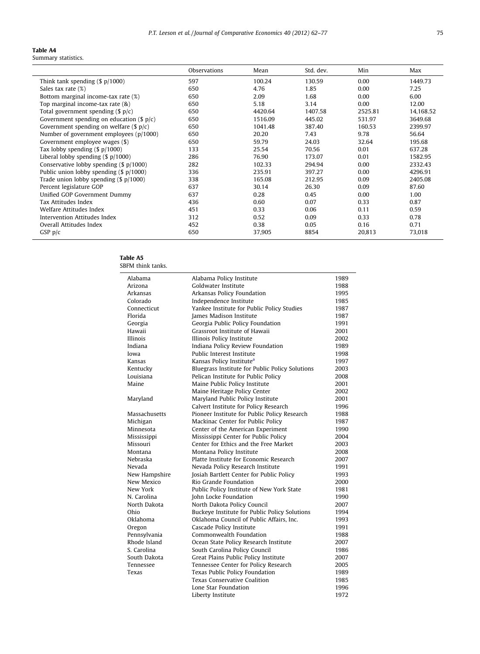## <span id="page-13-0"></span>Table A4

Summary statistics.  $\overline{a}$ 

|                                                      | Observations | Mean    | Std. dev. | Min     | Max       |
|------------------------------------------------------|--------------|---------|-----------|---------|-----------|
| Think tank spending $(\$ p/1000)$                    | 597          | 100.24  | 130.59    | 0.00    | 1449.73   |
| Sales tax rate (%)                                   | 650          | 4.76    | 1.85      | 0.00    | 7.25      |
| Bottom marginal income-tax rate (%)                  | 650          | 2.09    | 1.68      | 0.00    | 6.00      |
| Top marginal income-tax rate (&)                     | 650          | 5.18    | 3.14      | 0.00    | 12.00     |
| Total government spending $(\frac{e}{2} p/c)$        | 650          | 4420.64 | 1407.58   | 2525.81 | 14,168.52 |
| Government spending on education $(\frac{2}{3} p/c)$ | 650          | 1516.09 | 445.02    | 531.97  | 3649.68   |
| Government spending on welfare $(\frac{1}{2} p/c)$   | 650          | 1041.48 | 387.40    | 160.53  | 2399.97   |
| Number of government employees (p/1000)              | 650          | 20.20   | 7.43      | 9.78    | 56.64     |
| Government employee wages (\$)                       | 650          | 59.79   | 24.03     | 32.64   | 195.68    |
| Tax lobby spending $(\$ p/1000)$                     | 133          | 25.54   | 70.56     | 0.01    | 637.28    |
| Liberal lobby spending $(\$ p/1000)$                 | 286          | 76.90   | 173.07    | 0.01    | 1582.95   |
| Conservative lobby spending $(\frac{2}{3} p/1000)$   | 282          | 102.33  | 294.94    | 0.00    | 2332.43   |
| Public union lobby spending $(\frac{2}{3} p/1000)$   | 336          | 235.91  | 397.27    | 0.00    | 4296.91   |
| Trade union lobby spending $(\frac{2}{3} p/1000)$    | 338          | 165.08  | 212.95    | 0.09    | 2405.08   |
| Percent legislature GOP                              | 637          | 30.14   | 26.30     | 0.09    | 87.60     |
| Unified GOP Government Dummy                         | 637          | 0.28    | 0.45      | 0.00    | 1.00      |
| Tax Attitudes Index                                  | 436          | 0.60    | 0.07      | 0.33    | 0.87      |
| Welfare Attitudes Index                              | 451          | 0.33    | 0.06      | 0.11    | 0.59      |
| Intervention Attitudes Index                         | 312          | 0.52    | 0.09      | 0.33    | 0.78      |
| Overall Attitudes Index                              | 452          | 0.38    | 0.05      | 0.16    | 0.71      |
| $GSP$ $p/c$                                          | 650          | 37,905  | 8854      | 20,813  | 73,018    |

## Table A5

SBFM think tanks.

| Alabama         | Alabama Policy Institute                        | 1989 |
|-----------------|-------------------------------------------------|------|
| Arizona         | Goldwater Institute                             | 1988 |
| Arkansas        | Arkansas Policy Foundation                      | 1995 |
| Colorado        | Independence Institute                          | 1985 |
| Connecticut     | Yankee Institute for Public Policy Studies      | 1987 |
| Florida         | <b>James Madison Institute</b>                  | 1987 |
| Georgia         | Georgia Public Policy Foundation                | 1991 |
| Hawaii          | Grassroot Institute of Hawaii                   | 2001 |
| <b>Illinois</b> | Illinois Policy Institute                       | 2002 |
| Indiana         | Indiana Policy Review Foundation                | 1989 |
| Iowa            | Public Interest Institute                       | 1998 |
| Kansas          | Kansas Policy Institute <sup>a</sup>            | 1997 |
| Kentucky        | Bluegrass Institute for Public Policy Solutions | 2003 |
| Louisiana       | Pelican Institute for Public Policy             | 2008 |
| Maine           | Maine Public Policy Institute                   | 2001 |
|                 | Maine Heritage Policy Center                    | 2002 |
| Maryland        | Maryland Public Policy Institute                | 2001 |
|                 | Calvert Institute for Policy Research           | 1996 |
| Massachusetts   | Pioneer Institute for Public Policy Research    | 1988 |
| Michigan        | Mackinac Center for Public Policy               | 1987 |
| Minnesota       | Center of the American Experiment               | 1990 |
| Mississippi     | Mississippi Center for Public Policy            | 2004 |
| Missouri        | Center for Ethics and the Free Market           | 2003 |
| Montana         | Montana Policy Institute                        | 2008 |
| Nebraska        | Platte Institute for Economic Research          | 2007 |
| Nevada          | Nevada Policy Research Institute                | 1991 |
| New Hampshire   | Josiah Bartlett Center for Public Policy        | 1993 |
| New Mexico      | Rio Grande Foundation                           | 2000 |
| New York        | Public Policy Institute of New York State       | 1981 |
| N. Carolina     | John Locke Foundation                           | 1990 |
| North Dakota    | North Dakota Policy Council                     | 2007 |
| Ohio            | Buckeye Institute for Public Policy Solutions   | 1994 |
| Oklahoma        | Oklahoma Council of Public Affairs, Inc.        | 1993 |
| Oregon          | Cascade Policy Institute                        | 1991 |
| Pennsylvania    | Commonwealth Foundation                         | 1988 |
| Rhode Island    | Ocean State Policy Research Institute           | 2007 |
| S. Carolina     | South Carolina Policy Council                   | 1986 |
| South Dakota    | Great Plains Public Policy Institute            | 2007 |
| Tennessee       | Tennessee Center for Policy Research            | 2005 |
| Texas           | Texas Public Policy Foundation                  | 1989 |
|                 | <b>Texas Conservative Coalition</b>             | 1985 |
|                 | Lone Star Foundation                            | 1996 |
|                 | Liberty Institute                               | 1972 |
|                 |                                                 |      |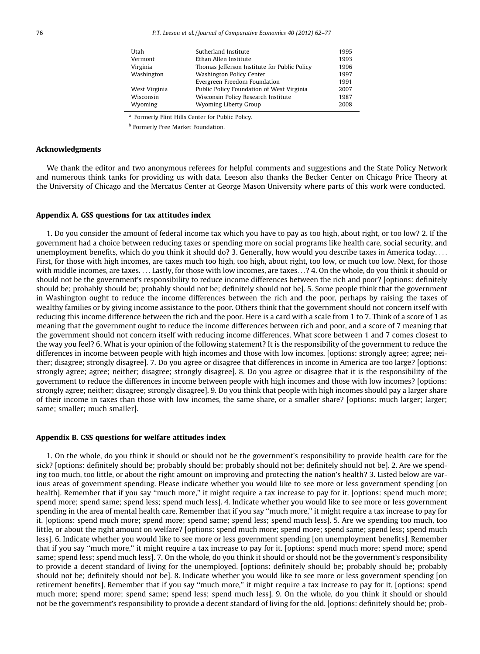<span id="page-14-0"></span>

| Utah          | Sutherland Institute                         | 1995 |
|---------------|----------------------------------------------|------|
| Vermont       | Ethan Allen Institute                        | 1993 |
| Virginia      | Thomas Jefferson Institute for Public Policy | 1996 |
| Washington    | Washington Policy Center                     | 1997 |
|               | Evergreen Freedom Foundation                 | 1991 |
| West Virginia | Public Policy Foundation of West Virginia    | 2007 |
| Wisconsin     | Wisconsin Policy Research Institute          | 1987 |
| Wyoming       | Wyoming Liberty Group                        | 2008 |

<sup>a</sup> Formerly Flint Hills Center for Public Policy.

**b** Formerly Free Market Foundation.

#### Acknowledgments

We thank the editor and two anonymous referees for helpful comments and suggestions and the State Policy Network and numerous think tanks for providing us with data. Leeson also thanks the Becker Center on Chicago Price Theory at the University of Chicago and the Mercatus Center at George Mason University where parts of this work were conducted.

#### Appendix A. GSS questions for tax attitudes index

1. Do you consider the amount of federal income tax which you have to pay as too high, about right, or too low? 2. If the government had a choice between reducing taxes or spending more on social programs like health care, social security, and unemployment benefits, which do you think it should do? 3. Generally, how would you describe taxes in America today. ... First, for those with high incomes, are taxes much too high, too high, about right, too low, or much too low. Next, for those with middle incomes, are taxes. ... Lastly, for those with low incomes, are taxes...? 4. On the whole, do you think it should or should not be the government's responsibility to reduce income differences between the rich and poor? [options: definitely should be; probably should be; probably should not be; definitely should not be]. 5. Some people think that the government in Washington ought to reduce the income differences between the rich and the poor, perhaps by raising the taxes of wealthy families or by giving income assistance to the poor. Others think that the government should not concern itself with reducing this income difference between the rich and the poor. Here is a card with a scale from 1 to 7. Think of a score of 1 as meaning that the government ought to reduce the income differences between rich and poor, and a score of 7 meaning that the government should not concern itself with reducing income differences. What score between 1 and 7 comes closest to the way you feel? 6. What is your opinion of the following statement? It is the responsibility of the government to reduce the differences in income between people with high incomes and those with low incomes. [options: strongly agree; agree; neither; disagree; strongly disagree]. 7. Do you agree or disagree that differences in income in America are too large? [options: strongly agree; agree; neither; disagree; strongly disagree]. 8. Do you agree or disagree that it is the responsibility of the government to reduce the differences in income between people with high incomes and those with low incomes? [options: strongly agree; neither; disagree; strongly disagree]. 9. Do you think that people with high incomes should pay a larger share of their income in taxes than those with low incomes, the same share, or a smaller share? [options: much larger; larger; same; smaller; much smaller].

#### Appendix B. GSS questions for welfare attitudes index

1. On the whole, do you think it should or should not be the government's responsibility to provide health care for the sick? [options: definitely should be; probably should be; probably should not be; definitely should not be]. 2. Are we spending too much, too little, or about the right amount on improving and protecting the nation's health? 3. Listed below are various areas of government spending. Please indicate whether you would like to see more or less government spending [on health]. Remember that if you say "much more," it might require a tax increase to pay for it. [options: spend much more; spend more; spend same; spend less; spend much less]. 4. Indicate whether you would like to see more or less government spending in the area of mental health care. Remember that if you say ''much more,'' it might require a tax increase to pay for it. [options: spend much more; spend more; spend same; spend less; spend much less]. 5. Are we spending too much, too little, or about the right amount on welfare? [options: spend much more; spend more; spend same; spend less; spend much less]. 6. Indicate whether you would like to see more or less government spending [on unemployment benefits]. Remember that if you say ''much more,'' it might require a tax increase to pay for it. [options: spend much more; spend more; spend same; spend less; spend much less]. 7. On the whole, do you think it should or should not be the government's responsibility to provide a decent standard of living for the unemployed. [options: definitely should be; probably should be; probably should not be; definitely should not be]. 8. Indicate whether you would like to see more or less government spending [on retirement benefits]. Remember that if you say ''much more,'' it might require a tax increase to pay for it. [options: spend much more; spend more; spend same; spend less; spend much less]. 9. On the whole, do you think it should or should not be the government's responsibility to provide a decent standard of living for the old. [options: definitely should be; prob-